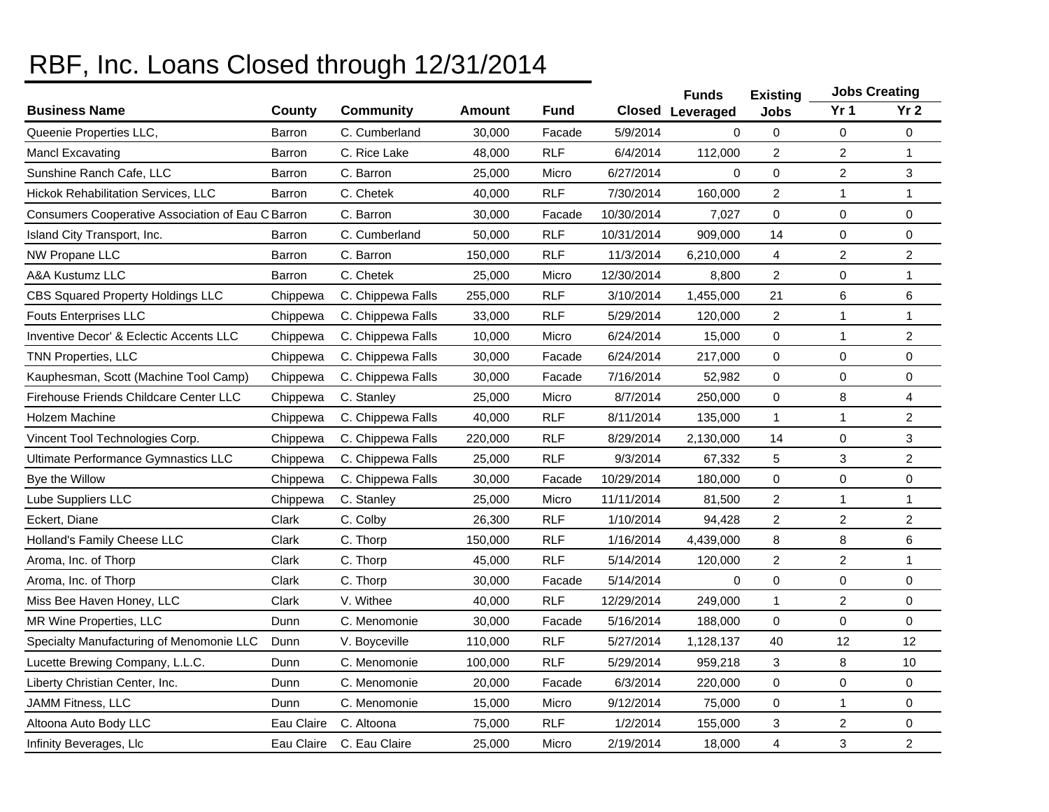## RBF, Inc. Loans Closed through 12/31/2014

|                                                    |               |                   |         |            |            | <b>Funds</b>            | <b>Existing</b> |                         | <b>Jobs Creating</b> |
|----------------------------------------------------|---------------|-------------------|---------|------------|------------|-------------------------|-----------------|-------------------------|----------------------|
| <b>Business Name</b>                               | County        | <b>Community</b>  | Amount  | Fund       |            | <b>Closed Leveraged</b> | <b>Jobs</b>     | Yr <sub>1</sub>         | Yr <sub>2</sub>      |
| Queenie Properties LLC,                            | Barron        | C. Cumberland     | 30,000  | Facade     | 5/9/2014   | $\Omega$                | 0               | 0                       | 0                    |
| <b>Mancl Excavating</b>                            | Barron        | C. Rice Lake      | 48,000  | <b>RLF</b> | 6/4/2014   | 112,000                 | $\overline{c}$  | $\overline{\mathbf{c}}$ | 1                    |
| Sunshine Ranch Cafe, LLC                           | Barron        | C. Barron         | 25,000  | Micro      | 6/27/2014  | $\Omega$                | 0               | $\overline{2}$          | 3                    |
| <b>Hickok Rehabilitation Services, LLC</b>         | Barron        | C. Chetek         | 40,000  | <b>RLF</b> | 7/30/2014  | 160,000                 | $\overline{c}$  | 1                       |                      |
| Consumers Cooperative Association of Eau C Barron  |               | C. Barron         | 30,000  | Facade     | 10/30/2014 | 7,027                   | 0               | $\mathbf 0$             | $\mathsf{O}\xspace$  |
| Island City Transport, Inc.                        | <b>Barron</b> | C. Cumberland     | 50,000  | <b>RLF</b> | 10/31/2014 | 909,000                 | 14              | $\mathbf 0$             | $\pmb{0}$            |
| NW Propane LLC                                     | Barron        | C. Barron         | 150,000 | <b>RLF</b> | 11/3/2014  | 6,210,000               | $\overline{4}$  | $\overline{c}$          | $\overline{2}$       |
| A&A Kustumz LLC                                    | Barron        | C. Chetek         | 25,000  | Micro      | 12/30/2014 | 8,800                   | $\overline{2}$  | 0                       | $\mathbf{1}$         |
| <b>CBS Squared Property Holdings LLC</b>           | Chippewa      | C. Chippewa Falls | 255,000 | <b>RLF</b> | 3/10/2014  | 1,455,000               | 21              | 6                       | 6                    |
| <b>Fouts Enterprises LLC</b>                       | Chippewa      | C. Chippewa Falls | 33,000  | <b>RLF</b> | 5/29/2014  | 120,000                 | $\overline{2}$  | 1                       | $\mathbf{1}$         |
| <b>Inventive Decor' &amp; Eclectic Accents LLC</b> | Chippewa      | C. Chippewa Falls | 10,000  | Micro      | 6/24/2014  | 15,000                  | 0               | 1                       | 2                    |
| <b>TNN Properties, LLC</b>                         | Chippewa      | C. Chippewa Falls | 30,000  | Facade     | 6/24/2014  | 217,000                 | 0               | $\mathbf 0$             | $\mathsf{O}\xspace$  |
| Kauphesman, Scott (Machine Tool Camp)              | Chippewa      | C. Chippewa Falls | 30,000  | Facade     | 7/16/2014  | 52,982                  | 0               | $\mathbf 0$             | $\mathsf{O}\xspace$  |
| <b>Firehouse Friends Childcare Center LLC</b>      | Chippewa      | C. Stanley        | 25,000  | Micro      | 8/7/2014   | 250,000                 | 0               | 8                       | 4                    |
| <b>Holzem Machine</b>                              | Chippewa      | C. Chippewa Falls | 40,000  | <b>RLF</b> | 8/11/2014  | 135,000                 | $\mathbf{1}$    | 1                       | $\overline{2}$       |
| Vincent Tool Technologies Corp.                    | Chippewa      | C. Chippewa Falls | 220,000 | <b>RLF</b> | 8/29/2014  | 2,130,000               | 14              | $\mathbf 0$             | 3                    |
| Ultimate Performance Gymnastics LLC                | Chippewa      | C. Chippewa Falls | 25,000  | <b>RLF</b> | 9/3/2014   | 67,332                  | 5               | 3                       | $\overline{2}$       |
| Bye the Willow                                     | Chippewa      | C. Chippewa Falls | 30,000  | Facade     | 10/29/2014 | 180,000                 | 0               | $\mathbf 0$             | 0                    |
| Lube Suppliers LLC                                 | Chippewa      | C. Stanley        | 25,000  | Micro      | 11/11/2014 | 81,500                  | $\overline{2}$  | 1                       | 1                    |
| Eckert, Diane                                      | Clark         | C. Colby          | 26,300  | <b>RLF</b> | 1/10/2014  | 94,428                  | $\overline{2}$  | $\overline{c}$          | $\overline{c}$       |
| Holland's Family Cheese LLC                        | Clark         | C. Thorp          | 150,000 | <b>RLF</b> | 1/16/2014  | 4,439,000               | 8               | 8                       | 6                    |
| Aroma, Inc. of Thorp                               | Clark         | C. Thorp          | 45,000  | <b>RLF</b> | 5/14/2014  | 120,000                 | $\overline{2}$  | $\overline{c}$          | $\mathbf{1}$         |
| Aroma, Inc. of Thorp                               | Clark         | C. Thorp          | 30,000  | Facade     | 5/14/2014  | $\mathbf 0$             | 0               | 0                       | $\mathbf 0$          |
| Miss Bee Haven Honey, LLC                          | Clark         | V. Withee         | 40,000  | <b>RLF</b> | 12/29/2014 | 249,000                 | $\mathbf{1}$    | $\overline{2}$          | $\mathbf 0$          |
| MR Wine Properties, LLC                            | Dunn          | C. Menomonie      | 30,000  | Facade     | 5/16/2014  | 188,000                 | $\Omega$        | $\mathbf 0$             | $\Omega$             |
| Specialty Manufacturing of Menomonie LLC           | Dunn          | V. Boyceville     | 110,000 | <b>RLF</b> | 5/27/2014  | 1,128,137               | 40              | 12                      | 12                   |
| Lucette Brewing Company, L.L.C.                    | Dunn          | C. Menomonie      | 100,000 | <b>RLF</b> | 5/29/2014  | 959,218                 | 3               | 8                       | 10                   |
| Liberty Christian Center, Inc.                     | Dunn          | C. Menomonie      | 20,000  | Facade     | 6/3/2014   | 220,000                 | 0               | $\overline{0}$          | $\mathbf 0$          |
| JAMM Fitness, LLC                                  | Dunn          | C. Menomonie      | 15,000  | Micro      | 9/12/2014  | 75,000                  | 0               | 1                       | 0                    |
| Altoona Auto Body LLC                              | Eau Claire    | C. Altoona        | 75,000  | <b>RLF</b> | 1/2/2014   | 155,000                 | 3               | $\overline{c}$          | 0                    |
| Infinity Beverages, Llc                            | Eau Claire    | C. Eau Claire     | 25,000  | Micro      | 2/19/2014  | 18,000                  | $\overline{4}$  | 3                       | $\overline{2}$       |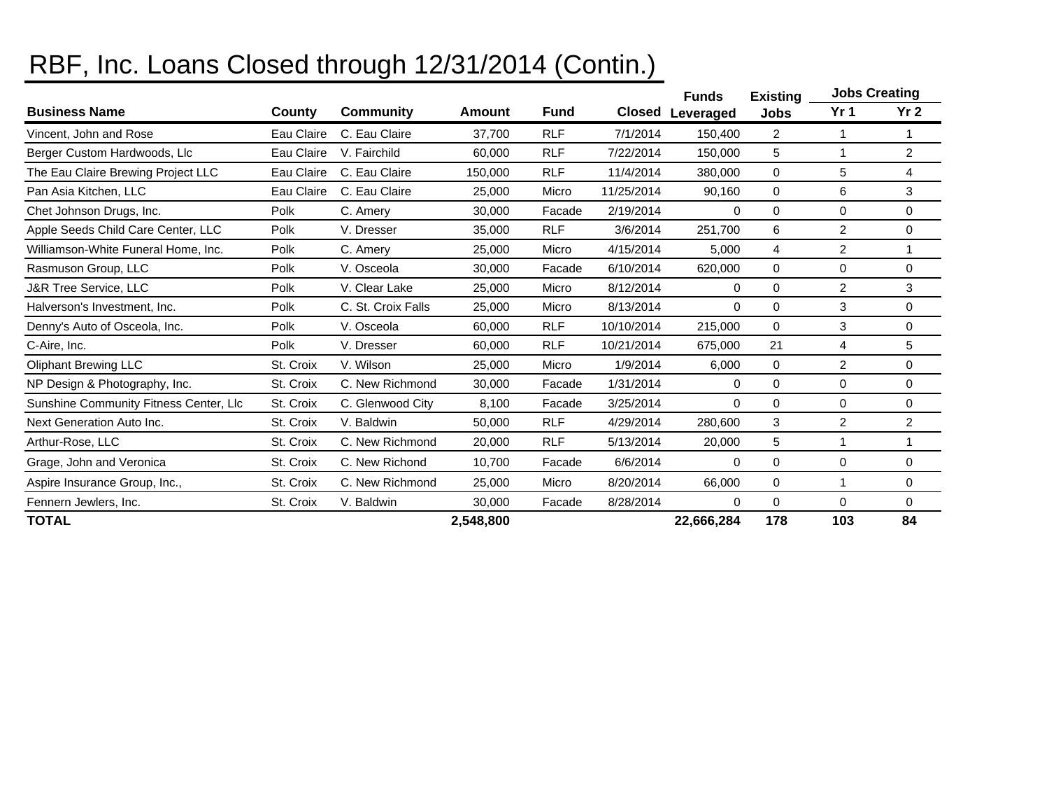## RBF, Inc. Loans Closed through 12/31/2014 (Contin.)

|                                        |            |                    |           |             |            | <b>Funds</b> | <b>Existing</b> | <b>Jobs Creating</b> |                 |
|----------------------------------------|------------|--------------------|-----------|-------------|------------|--------------|-----------------|----------------------|-----------------|
| <b>Business Name</b>                   | County     | <b>Community</b>   | Amount    | <b>Fund</b> | Closed     | Leveraged    | Jobs            | Yr <sub>1</sub>      | Yr <sub>2</sub> |
| Vincent, John and Rose                 | Eau Claire | C. Eau Claire      | 37,700    | <b>RLF</b>  | 7/1/2014   | 150,400      | $\overline{2}$  | 1                    |                 |
| Berger Custom Hardwoods, Llc           | Eau Claire | V. Fairchild       | 60,000    | <b>RLF</b>  | 7/22/2014  | 150,000      | 5               |                      | $\overline{2}$  |
| The Eau Claire Brewing Project LLC     | Eau Claire | C. Eau Claire      | 150,000   | <b>RLF</b>  | 11/4/2014  | 380,000      | 0               | 5                    | 4               |
| Pan Asia Kitchen, LLC                  | Eau Claire | C. Eau Claire      | 25.000    | Micro       | 11/25/2014 | 90,160       | $\Omega$        | 6                    | 3               |
| Chet Johnson Drugs, Inc.               | Polk       | C. Amery           | 30,000    | Facade      | 2/19/2014  | 0            | 0               | $\mathbf 0$          | 0               |
| Apple Seeds Child Care Center, LLC     | Polk       | V. Dresser         | 35,000    | <b>RLF</b>  | 3/6/2014   | 251,700      | 6               | 2                    | 0               |
| Williamson-White Funeral Home, Inc.    | Polk       | C. Amery           | 25,000    | Micro       | 4/15/2014  | 5,000        | 4               | 2                    |                 |
| Rasmuson Group, LLC                    | Polk       | V. Osceola         | 30,000    | Facade      | 6/10/2014  | 620,000      | 0               | $\Omega$             | $\Omega$        |
| <b>J&amp;R Tree Service, LLC</b>       | Polk       | V. Clear Lake      | 25,000    | Micro       | 8/12/2014  | 0            | 0               | $\overline{c}$       | 3               |
| Halverson's Investment, Inc.           | Polk       | C. St. Croix Falls | 25,000    | Micro       | 8/13/2014  | 0            | 0               | 3                    | 0               |
| Denny's Auto of Osceola, Inc.          | Polk       | V. Osceola         | 60.000    | <b>RLF</b>  | 10/10/2014 | 215,000      | 0               | 3                    | 0               |
| C-Aire, Inc.                           | Polk       | V. Dresser         | 60.000    | <b>RLF</b>  | 10/21/2014 | 675,000      | 21              | 4                    | 5               |
| <b>Oliphant Brewing LLC</b>            | St. Croix  | V. Wilson          | 25,000    | Micro       | 1/9/2014   | 6,000        | 0               | 2                    | 0               |
| NP Design & Photography, Inc.          | St. Croix  | C. New Richmond    | 30,000    | Facade      | 1/31/2014  | 0            | 0               | $\mathbf 0$          | 0               |
| Sunshine Community Fitness Center, Llc | St. Croix  | C. Glenwood City   | 8,100     | Facade      | 3/25/2014  | 0            | 0               | $\Omega$             | 0               |
| Next Generation Auto Inc.              | St. Croix  | V. Baldwin         | 50,000    | <b>RLF</b>  | 4/29/2014  | 280,600      | 3               | $\overline{2}$       | 2               |
| Arthur-Rose, LLC                       | St. Croix  | C. New Richmond    | 20,000    | <b>RLF</b>  | 5/13/2014  | 20,000       | 5               |                      |                 |
| Grage, John and Veronica               | St. Croix  | C. New Richond     | 10.700    | Facade      | 6/6/2014   | 0            | 0               | 0                    | 0               |
| Aspire Insurance Group, Inc.,          | St. Croix  | C. New Richmond    | 25,000    | Micro       | 8/20/2014  | 66,000       | $\Omega$        |                      | 0               |
| Fennern Jewlers, Inc.                  | St. Croix  | V. Baldwin         | 30,000    | Facade      | 8/28/2014  | $\Omega$     | 0               | $\Omega$             | 0               |
| <b>TOTAL</b>                           |            |                    | 2,548,800 |             |            | 22,666,284   | 178             | 103                  | 84              |